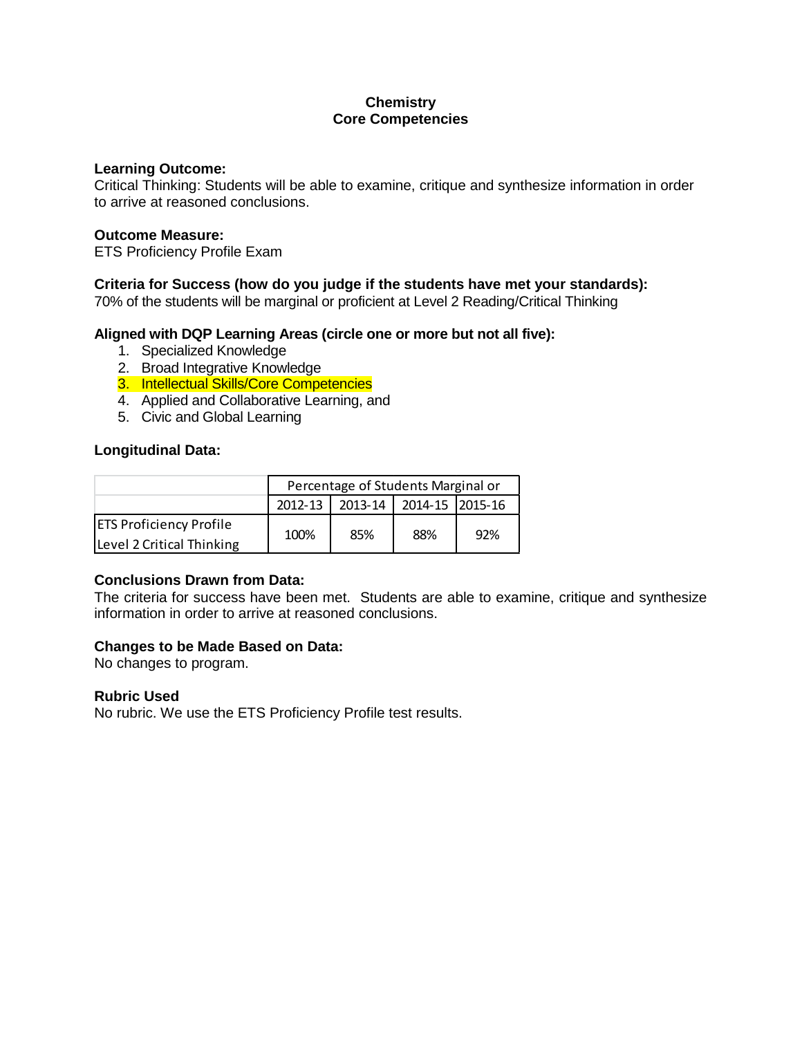# **Chemistry Core Competencies**

### **Learning Outcome:**

Critical Thinking: Students will be able to examine, critique and synthesize information in order to arrive at reasoned conclusions.

## **Outcome Measure:**

ETS Proficiency Profile Exam

## **Criteria for Success (how do you judge if the students have met your standards):**

70% of the students will be marginal or proficient at Level 2 Reading/Critical Thinking

## **Aligned with DQP Learning Areas (circle one or more but not all five):**

- 1. Specialized Knowledge
- 2. Broad Integrative Knowledge
- 3. Intellectual Skills/Core Competencies
- 4. Applied and Collaborative Learning, and
- 5. Civic and Global Learning

## **Longitudinal Data:**

|                                                             | Percentage of Students Marginal or |     |                             |     |  |
|-------------------------------------------------------------|------------------------------------|-----|-----------------------------|-----|--|
|                                                             | $2012 - 13$                        |     | 2013-14   2014-15   2015-16 |     |  |
| <b>ETS Proficiency Profile</b><br>Level 2 Critical Thinking | 100%                               | 85% | 88%                         | 92% |  |

## **Conclusions Drawn from Data:**

The criteria for success have been met. Students are able to examine, critique and synthesize information in order to arrive at reasoned conclusions.

## **Changes to be Made Based on Data:**

No changes to program.

## **Rubric Used**

No rubric. We use the ETS Proficiency Profile test results.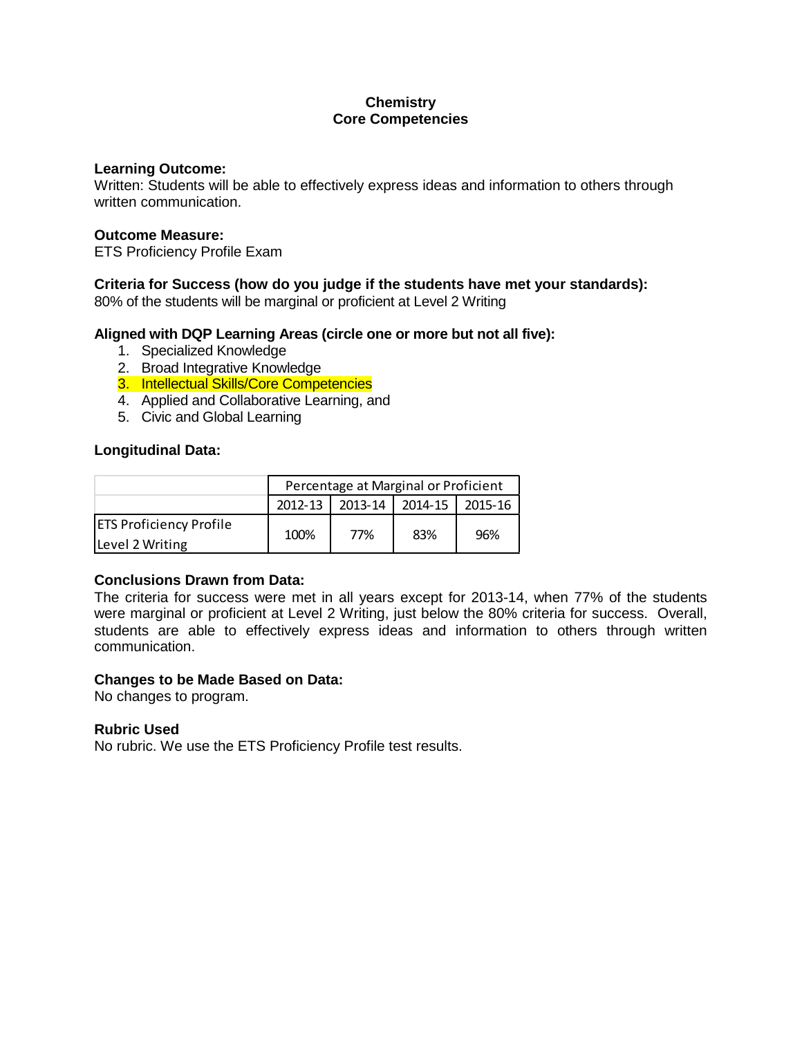# **Chemistry Core Competencies**

### **Learning Outcome:**

Written: Students will be able to effectively express ideas and information to others through written communication.

## **Outcome Measure:**

ETS Proficiency Profile Exam

# **Criteria for Success (how do you judge if the students have met your standards):**

80% of the students will be marginal or proficient at Level 2 Writing

## **Aligned with DQP Learning Areas (circle one or more but not all five):**

- 1. Specialized Knowledge
- 2. Broad Integrative Knowledge
- 3. Intellectual Skills/Core Competencies
- 4. Applied and Collaborative Learning, and
- 5. Civic and Global Learning

## **Longitudinal Data:**

|                                | Percentage at Marginal or Proficient |     |                   |         |  |
|--------------------------------|--------------------------------------|-----|-------------------|---------|--|
|                                | 2012-13                              |     | 2013-14   2014-15 | 2015-16 |  |
| <b>ETS Proficiency Profile</b> | 100%                                 | 77% | 83%               | 96%     |  |
| Level 2 Writing                |                                      |     |                   |         |  |

# **Conclusions Drawn from Data:**

The criteria for success were met in all years except for 2013-14, when 77% of the students were marginal or proficient at Level 2 Writing, just below the 80% criteria for success. Overall, students are able to effectively express ideas and information to others through written communication.

## **Changes to be Made Based on Data:**

No changes to program.

## **Rubric Used**

No rubric. We use the ETS Proficiency Profile test results.